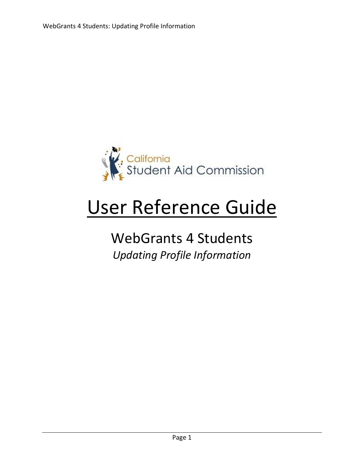

# User Reference Guide

# WebGrants 4 Students *Updating Profile Information*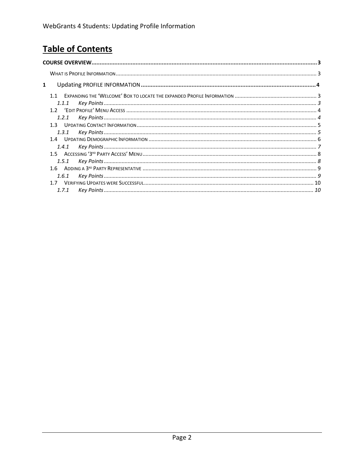# **Table of Contents**

| 1              |  |
|----------------|--|
| 11             |  |
|                |  |
|                |  |
| 1.2.1          |  |
| 13             |  |
| 1.3.1          |  |
| 14             |  |
| 1.4.1          |  |
| 1 <sub>5</sub> |  |
| 1.5.1          |  |
| 1 <sub>6</sub> |  |
| 1.6.1          |  |
| 17             |  |
| 171            |  |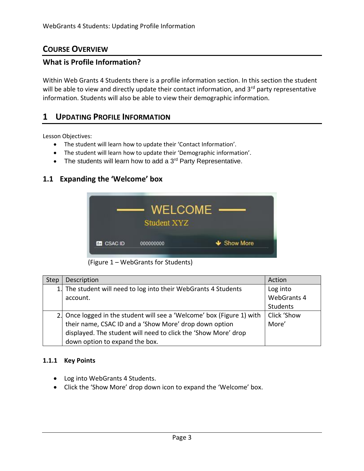# <span id="page-2-0"></span>**COURSE OVERVIEW**

## **What is Profile Information?**

Within Web Grants 4 Students there is a profile information section. In this section the student will be able to view and directly update their contact information, and 3<sup>rd</sup> party representative information. Students will also be able to view their demographic information.

# **1 UPDATING PROFILE INFORMATION**

Lesson Objectives:

- The student will learn how to update their 'Contact Information'.
- The student will learn how to update their 'Demographic information'.
- The students will learn how to add a  $3<sup>rd</sup>$  Party Representative.

# **1.1 Expanding the 'Welcome' box**



(Figure 1 – WebGrants for Students)

| <b>Step</b> | Description                                                            | Action             |
|-------------|------------------------------------------------------------------------|--------------------|
|             | 1. The student will need to log into their WebGrants 4 Students        | Log into           |
|             | account.                                                               | <b>WebGrants 4</b> |
|             |                                                                        | Students           |
|             | 2. Once logged in the student will see a 'Welcome' box (Figure 1) with | Click 'Show        |
|             | their name, CSAC ID and a 'Show More' drop down option                 | More'              |
|             | displayed. The student will need to click the 'Show More' drop         |                    |
|             | down option to expand the box.                                         |                    |

#### <span id="page-2-1"></span>**1.1.1 Key Points**

- Log into WebGrants 4 Students.
- Click the 'Show More' drop down icon to expand the 'Welcome' box.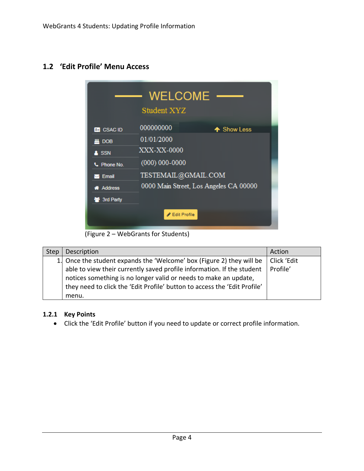# **1.2 'Edit Profile' Menu Access**

|                    | <b>WELCOME</b><br>Student XYZ          |
|--------------------|----------------------------------------|
| <b>BE</b> CSAC ID  | 000000000<br>↑ Show Less               |
| ₩ DOB              | 01/01/2000                             |
| A SSN              | XXX-XX-0000                            |
| C. Phone No.       | $(000) 000 - 0000$                     |
| Email              | TESTEMAIL@GMAIL.COM                    |
| <b>A</b> Address   | 0000 Main Street, Los Angeles CA 00000 |
| <b>誉 3rd Party</b> |                                        |
|                    | ✔ Edit Profile                         |

(Figure 2 – WebGrants for Students)

| Step | Description                                                               | Action      |
|------|---------------------------------------------------------------------------|-------------|
|      | 1. Once the student expands the 'Welcome' box (Figure 2) they will be     | Click 'Edit |
|      | able to view their currently saved profile information. If the student    | Profile'    |
|      | notices something is no longer valid or needs to make an update,          |             |
|      | they need to click the 'Edit Profile' button to access the 'Edit Profile' |             |
|      | menu.                                                                     |             |

#### <span id="page-3-0"></span>**1.2.1 Key Points**

• Click the 'Edit Profile' button if you need to update or correct profile information.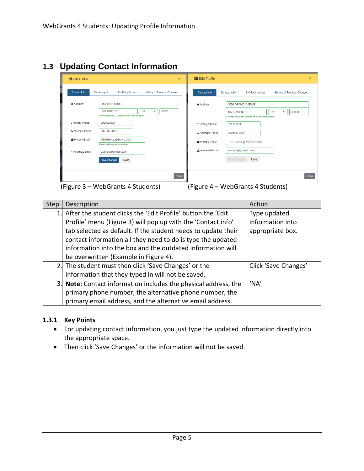# **1.3 Updating Contact Information**

| <b>Edit Profile</b>      | $\mathbf{x}$                                                                                                              | <b>BE</b> Edit Profile   | $\times$                                                                                                                  |
|--------------------------|---------------------------------------------------------------------------------------------------------------------------|--------------------------|---------------------------------------------------------------------------------------------------------------------------|
| <b>Contact Info</b>      | <b>History of Previous Changes</b><br>Demographic<br>3rd Party Access                                                     | <b>Contact Info</b>      | <b>History of Previous Changes</b><br>Demographic<br>3rd Party Access                                                     |
| <b># Address*</b>        | 0000 MAIN STREET<br>CA<br>$\checkmark$<br><b>LOS ANGELES</b><br>00000<br>Address has been verified as a valid information | * Address*               | 0000 GRAND AVENUE<br>CA<br>$\checkmark$<br>00000<br><b>SACRAMENTO</b><br>Address has been verified as a valid information |
| D Primary Phone*         | 0000000000                                                                                                                | D Primary Phone*         | 1111111111                                                                                                                |
| <b>L</b> Alternate Phone | 000-000-0000                                                                                                              | <b>L</b> Alternate Phone | 000-000-0000                                                                                                              |
| Primary Email*           | TESTEMAIL@GMAIL.COM<br>Email address is available                                                                         | Primary Email*           | TESTEMAIL@YAHOO.COM                                                                                                       |
| <b>⊠ Alternate Email</b> | example@domain.com                                                                                                        | <b>⊠ Alternate Email</b> | example@domain.com                                                                                                        |
|                          | Save Changes<br>Reset                                                                                                     |                          | Save Changes<br>Reset                                                                                                     |
|                          | Close                                                                                                                     |                          | <b>Close</b>                                                                                                              |

(Figure 3 – WebGrants 4 Students) (Figure 4 – WebGrants 4 Students)

| Step | Description                                                     | Action               |
|------|-----------------------------------------------------------------|----------------------|
|      | 1. After the student clicks the 'Edit Profile' button the 'Edit | Type updated         |
|      | Profile' menu (Figure 3) will pop up with the 'Contact info'    | information into     |
|      | tab selected as default. If the student needs to update their   | appropriate box.     |
|      | contact information all they need to do is type the updated     |                      |
|      | information into the box and the outdated information will      |                      |
|      | be overwritten (Example in Figure 4).                           |                      |
|      | 2. The student must then click 'Save Changes' or the            | Click 'Save Changes' |
|      | information that they typed in will not be saved.               |                      |
|      | 3. Note: Contact information includes the physical address, the | 'NA'                 |
|      | primary phone number, the alternative phone number, the         |                      |
|      | primary email address, and the alternative email address.       |                      |

#### <span id="page-4-0"></span>**1.3.1 Key Points**

- For updating contact information, you just type the updated information directly into the appropriate space.
- Then click 'Save Changes' or the information will not be saved.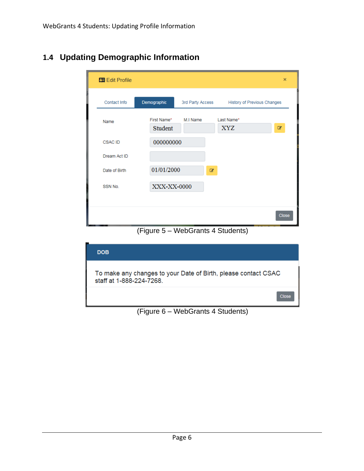| <b>图 Edit Profile</b> |                        |                  |   |                          |                             | ×     |
|-----------------------|------------------------|------------------|---|--------------------------|-----------------------------|-------|
| Contact Info          | Demographic            | 3rd Party Access |   |                          | History of Previous Changes |       |
| Name                  | First Name*<br>Student | M.I Name         |   | Last Name*<br><b>XYZ</b> |                             | ☑     |
| <b>CSAC ID</b>        | 000000000              |                  |   |                          |                             |       |
| Dream Act ID          |                        |                  |   |                          |                             |       |
| Date of Birth         | 01/01/2000             |                  | € |                          |                             |       |
| SSN No.               | XXX-XX-0000            |                  |   |                          |                             |       |
|                       |                        |                  |   |                          |                             |       |
|                       |                        |                  |   |                          |                             | Close |

# **1.4 Updating Demographic Information**

(Figure 5 – WebGrants 4 Students)



(Figure 6 – WebGrants 4 Students)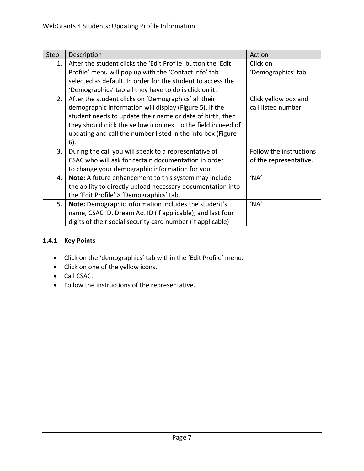| Step | Description                                                    | Action                  |
|------|----------------------------------------------------------------|-------------------------|
| 1.   | After the student clicks the 'Edit Profile' button the 'Edit   | Click on                |
|      | Profile' menu will pop up with the 'Contact info' tab          | 'Demographics' tab      |
|      | selected as default. In order for the student to access the    |                         |
|      | 'Demographics' tab all they have to do is click on it.         |                         |
| 2.   | After the student clicks on 'Demographics' all their           | Click yellow box and    |
|      | demographic information will display (Figure 5). If the        | call listed number      |
|      | student needs to update their name or date of birth, then      |                         |
|      | they should click the yellow icon next to the field in need of |                         |
|      | updating and call the number listed in the info box (Figure    |                         |
|      | 6).                                                            |                         |
| 3.   | During the call you will speak to a representative of          | Follow the instructions |
|      | CSAC who will ask for certain documentation in order           | of the representative.  |
|      | to change your demographic information for you.                |                         |
| 4.   | Note: A future enhancement to this system may include          | 'NA'                    |
|      | the ability to directly upload necessary documentation into    |                         |
|      | the 'Edit Profile' > 'Demographics' tab.                       |                         |
| 5.   | Note: Demographic information includes the student's           | 'NA'                    |
|      | name, CSAC ID, Dream Act ID (if applicable), and last four     |                         |
|      | digits of their social security card number (if applicable)    |                         |

## **1.4.1 Key Points**

- Click on the 'demographics' tab within the 'Edit Profile' menu.
- Click on one of the yellow icons.
- Call CSAC.
- Follow the instructions of the representative.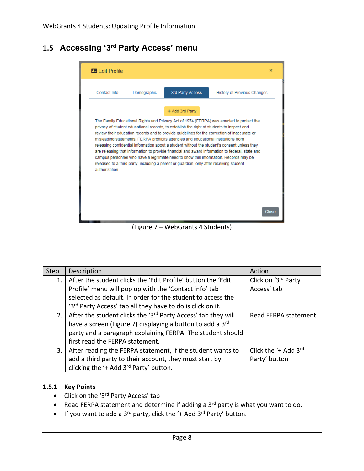# **1.5 Accessing '3rd Party Access' menu**



(Figure 7 – WebGrants 4 Students)

| <b>Step</b> | Description                                                               | Action                            |
|-------------|---------------------------------------------------------------------------|-----------------------------------|
| 1.          | After the student clicks the 'Edit Profile' button the 'Edit              | Click on '3rd Party               |
|             | Profile' menu will pop up with the 'Contact info' tab                     | Access' tab                       |
|             | selected as default. In order for the student to access the               |                                   |
|             | '3rd Party Access' tab all they have to do is click on it.                |                                   |
| 2.1         | After the student clicks the '3 <sup>rd</sup> Party Access' tab they will | Read FERPA statement              |
|             | have a screen (Figure 7) displaying a button to add a 3rd                 |                                   |
|             | party and a paragraph explaining FERPA. The student should                |                                   |
|             | first read the FERPA statement.                                           |                                   |
| 3.          | After reading the FERPA statement, if the student wants to                | Click the $4$ Add 3 <sup>rd</sup> |
|             | add a third party to their account, they must start by                    | Party' button                     |
|             | clicking the '+ Add 3 <sup>rd</sup> Party' button.                        |                                   |

#### **1.5.1 Key Points**

- Click on the '3<sup>rd</sup> Party Access' tab
- Read FERPA statement and determine if adding a 3<sup>rd</sup> party is what you want to do.
- If you want to add a  $3^{rd}$  party, click the '+ Add  $3^{rd}$  Party' button.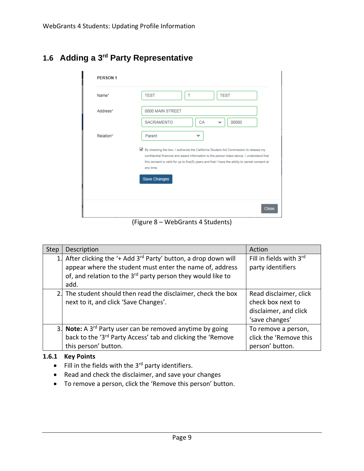|  |  |  | 1.6 Adding a 3 <sup>rd</sup> Party Representative |
|--|--|--|---------------------------------------------------|
|--|--|--|---------------------------------------------------|

| Name*     | <b>TEST</b><br>т<br><b>TEST</b>                                                                                                                                                                                                                                                                                     |
|-----------|---------------------------------------------------------------------------------------------------------------------------------------------------------------------------------------------------------------------------------------------------------------------------------------------------------------------|
| Address*  | 0000 MAIN STREET                                                                                                                                                                                                                                                                                                    |
|           | <b>SACRAMENTO</b><br>CA<br>00000<br>v                                                                                                                                                                                                                                                                               |
| Relation* | Parent<br>◡                                                                                                                                                                                                                                                                                                         |
|           | ■ By checking the box, I authorize the California Student Aid Commission to release my<br>confidential financial and award information to the person listed above. I understand that<br>this consent is valid for up to five(5) years and that I have the ability to cancel consent at<br>any time.<br>Save Changes |
|           |                                                                                                                                                                                                                                                                                                                     |

(Figure 8 – WebGrants 4 Students)

| <b>Step</b> | Description                                                                                                                                                                                                              | Action                                                                                 |
|-------------|--------------------------------------------------------------------------------------------------------------------------------------------------------------------------------------------------------------------------|----------------------------------------------------------------------------------------|
|             | After clicking the '+ Add 3 <sup>rd</sup> Party' button, a drop down will<br>appear where the student must enter the name of, address<br>of, and relation to the 3 <sup>rd</sup> party person they would like to<br>add. | Fill in fields with 3rd<br>party identifiers                                           |
|             | 2. The student should then read the disclaimer, check the box<br>next to it, and click 'Save Changes'.                                                                                                                   | Read disclaimer, click<br>check box next to<br>disclaimer, and click<br>'save changes' |
|             | 3. Note: A 3 <sup>rd</sup> Party user can be removed anytime by going<br>back to the '3 <sup>rd</sup> Party Access' tab and clicking the 'Remove<br>this person' button.                                                 | To remove a person,<br>click the 'Remove this<br>person' button.                       |

#### **1.6.1 Key Points**

- $\bullet$  Fill in the fields with the 3<sup>rd</sup> party identifiers.
- Read and check the disclaimer, and save your changes
- To remove a person, click the 'Remove this person' button.